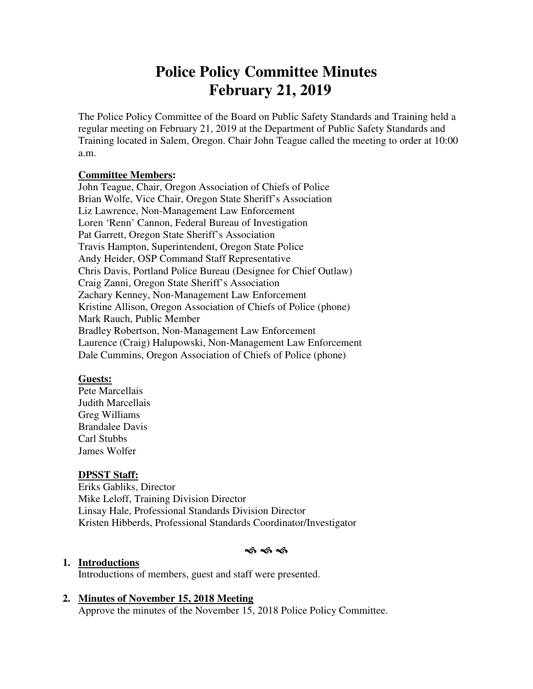# **Police Policy Committee Minutes February 21, 2019**

The Police Policy Committee of the Board on Public Safety Standards and Training held a regular meeting on February 21, 2019 at the Department of Public Safety Standards and Training located in Salem, Oregon. Chair John Teague called the meeting to order at 10:00 a.m.

#### **Committee Members:**

John Teague, Chair, Oregon Association of Chiefs of Police Brian Wolfe, Vice Chair, Oregon State Sheriff's Association Liz Lawrence, Non-Management Law Enforcement Loren 'Renn' Cannon, Federal Bureau of Investigation Pat Garrett, Oregon State Sheriff's Association Travis Hampton, Superintendent, Oregon State Police Andy Heider, OSP Command Staff Representative Chris Davis, Portland Police Bureau (Designee for Chief Outlaw) Craig Zanni, Oregon State Sheriff's Association Zachary Kenney, Non-Management Law Enforcement Kristine Allison, Oregon Association of Chiefs of Police (phone) Mark Rauch, Public Member Bradley Robertson, Non-Management Law Enforcement Laurence (Craig) Halupowski, Non-Management Law Enforcement Dale Cummins, Oregon Association of Chiefs of Police (phone)

#### **Guests:**

Pete Marcellais Judith Marcellais Greg Williams Brandalee Davis Carl Stubbs James Wolfer

#### **DPSST Staff:**

Eriks Gabliks, Director Mike Leloff, Training Division Director Linsay Hale, Professional Standards Division Director Kristen Hibberds, Professional Standards Coordinator/Investigator

#### ক্ষ কৰি

#### **1. Introductions**

Introductions of members, guest and staff were presented.

#### **2. Minutes of November 15, 2018 Meeting**

Approve the minutes of the November 15, 2018 Police Policy Committee.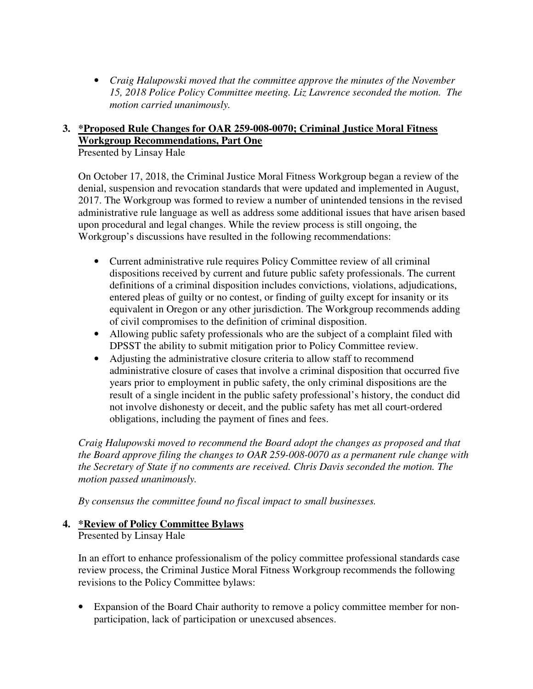• *Craig Halupowski moved that the committee approve the minutes of the November 15, 2018 Police Policy Committee meeting. Liz Lawrence seconded the motion. The motion carried unanimously.* 

### **3. \*Proposed Rule Changes for OAR 259-008-0070; Criminal Justice Moral Fitness Workgroup Recommendations, Part One**

Presented by Linsay Hale

On October 17, 2018, the Criminal Justice Moral Fitness Workgroup began a review of the denial, suspension and revocation standards that were updated and implemented in August, 2017. The Workgroup was formed to review a number of unintended tensions in the revised administrative rule language as well as address some additional issues that have arisen based upon procedural and legal changes. While the review process is still ongoing, the Workgroup's discussions have resulted in the following recommendations:

- Current administrative rule requires Policy Committee review of all criminal dispositions received by current and future public safety professionals. The current definitions of a criminal disposition includes convictions, violations, adjudications, entered pleas of guilty or no contest, or finding of guilty except for insanity or its equivalent in Oregon or any other jurisdiction. The Workgroup recommends adding of civil compromises to the definition of criminal disposition.
- Allowing public safety professionals who are the subject of a complaint filed with DPSST the ability to submit mitigation prior to Policy Committee review.
- Adjusting the administrative closure criteria to allow staff to recommend administrative closure of cases that involve a criminal disposition that occurred five years prior to employment in public safety, the only criminal dispositions are the result of a single incident in the public safety professional's history, the conduct did not involve dishonesty or deceit, and the public safety has met all court-ordered obligations, including the payment of fines and fees.

*Craig Halupowski moved to recommend the Board adopt the changes as proposed and that the Board approve filing the changes to OAR 259-008-0070 as a permanent rule change with the Secretary of State if no comments are received. Chris Davis seconded the motion. The motion passed unanimously.* 

*By consensus the committee found no fiscal impact to small businesses.* 

# **4. \*Review of Policy Committee Bylaws**

Presented by Linsay Hale

In an effort to enhance professionalism of the policy committee professional standards case review process, the Criminal Justice Moral Fitness Workgroup recommends the following revisions to the Policy Committee bylaws:

Expansion of the Board Chair authority to remove a policy committee member for nonparticipation, lack of participation or unexcused absences.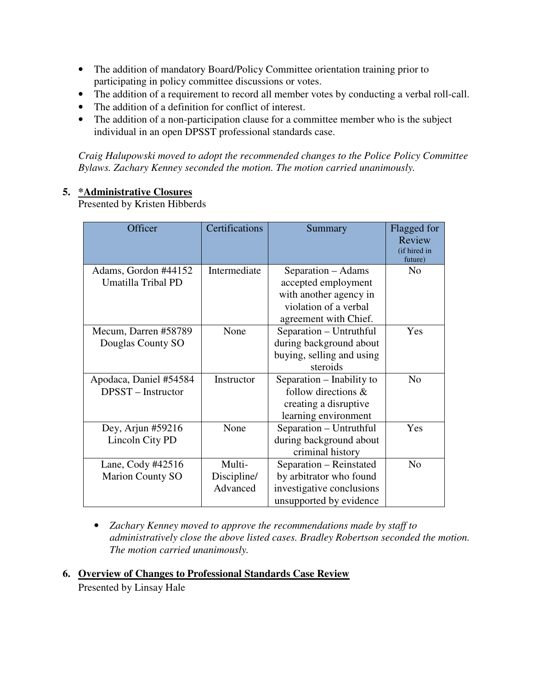- The addition of mandatory Board/Policy Committee orientation training prior to participating in policy committee discussions or votes.
- The addition of a requirement to record all member votes by conducting a verbal roll-call.
- The addition of a definition for conflict of interest.
- The addition of a non-participation clause for a committee member who is the subject individual in an open DPSST professional standards case.

*Craig Halupowski moved to adopt the recommended changes to the Police Policy Committee Bylaws. Zachary Kenney seconded the motion. The motion carried unanimously.* 

#### **5. \*Administrative Closures**

Presented by Kristen Hibberds

| Officer                                        | Certifications                    | Summary                                                                                                               | Flagged for<br>Review<br>(if hired in<br>future) |
|------------------------------------------------|-----------------------------------|-----------------------------------------------------------------------------------------------------------------------|--------------------------------------------------|
| Adams, Gordon #44152<br>Umatilla Tribal PD     | Intermediate                      | Separation – Adams<br>accepted employment<br>with another agency in<br>violation of a verbal<br>agreement with Chief. | N <sub>0</sub>                                   |
| Mecum, Darren #58789<br>Douglas County SO      | None                              | Separation - Untruthful<br>during background about<br>buying, selling and using<br>steroids                           | Yes                                              |
| Apodaca, Daniel #54584<br>$DPSST - Instructor$ | Instructor                        | Separation – Inability to<br>follow directions $\&$<br>creating a disruptive<br>learning environment                  | N <sub>o</sub>                                   |
| Dey, Arjun $#59216$<br>Lincoln City PD         | None                              | Separation – Untruthful<br>during background about<br>criminal history                                                | Yes                                              |
| Lane, Cody #42516<br><b>Marion County SO</b>   | Multi-<br>Discipline/<br>Advanced | Separation - Reinstated<br>by arbitrator who found<br>investigative conclusions<br>unsupported by evidence            | N <sub>o</sub>                                   |

• *Zachary Kenney moved to approve the recommendations made by staff to administratively close the above listed cases. Bradley Robertson seconded the motion. The motion carried unanimously.* 

**6. Overview of Changes to Professional Standards Case Review**  Presented by Linsay Hale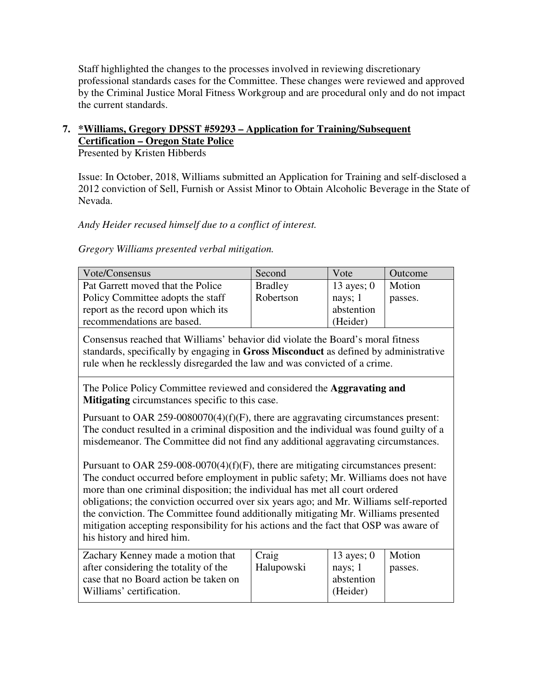Staff highlighted the changes to the processes involved in reviewing discretionary professional standards cases for the Committee. These changes were reviewed and approved by the Criminal Justice Moral Fitness Workgroup and are procedural only and do not impact the current standards.

## **7. \*Williams, Gregory DPSST #59293 – Application for Training/Subsequent Certification – Oregon State Police**

Presented by Kristen Hibberds

Issue: In October, 2018, Williams submitted an Application for Training and self-disclosed a 2012 conviction of Sell, Furnish or Assist Minor to Obtain Alcoholic Beverage in the State of Nevada.

*Andy Heider recused himself due to a conflict of interest.* 

*Gregory Williams presented verbal mitigation.* 

| Vote/Consensus                      | Second         | Vote         | Outcome |
|-------------------------------------|----------------|--------------|---------|
| Pat Garrett moved that the Police   | <b>Bradley</b> | 13 ayes; $0$ | Motion  |
| Policy Committee adopts the staff   | Robertson      | nays; $1$    | passes. |
| report as the record upon which its |                | abstention   |         |
| recommendations are based.          |                | (Heider)     |         |

Consensus reached that Williams' behavior did violate the Board's moral fitness standards, specifically by engaging in **Gross Misconduct** as defined by administrative rule when he recklessly disregarded the law and was convicted of a crime.

The Police Policy Committee reviewed and considered the **Aggravating and Mitigating** circumstances specific to this case.

Pursuant to OAR 259-0080070(4)(f)(F), there are aggravating circumstances present: The conduct resulted in a criminal disposition and the individual was found guilty of a misdemeanor. The Committee did not find any additional aggravating circumstances.

Pursuant to OAR 259-008-0070(4)(f)(F), there are mitigating circumstances present: The conduct occurred before employment in public safety; Mr. Williams does not have more than one criminal disposition; the individual has met all court ordered obligations; the conviction occurred over six years ago; and Mr. Williams self-reported the conviction. The Committee found additionally mitigating Mr. Williams presented mitigation accepting responsibility for his actions and the fact that OSP was aware of his history and hired him.

| Zachary Kenney made a motion that     | Craig      | 13 ayes; 0      | Motion  |
|---------------------------------------|------------|-----------------|---------|
| after considering the totality of the | Halupowski | $\vert$ nays; 1 | passes. |
| case that no Board action be taken on |            | abstention      |         |
| Williams' certification.              |            | (Heider)        |         |
|                                       |            |                 |         |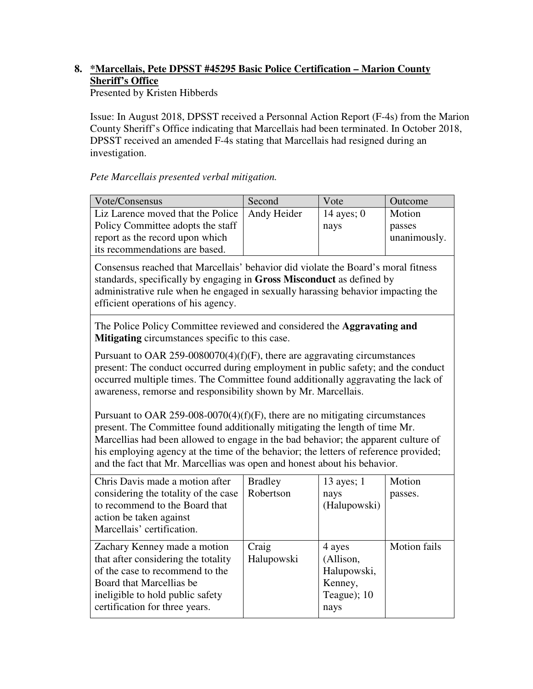## **8. \*Marcellais, Pete DPSST #45295 Basic Police Certification – Marion County Sheriff's Office**

Presented by Kristen Hibberds

Issue: In August 2018, DPSST received a Personnal Action Report (F-4s) from the Marion County Sheriff's Office indicating that Marcellais had been terminated. In October 2018, DPSST received an amended F-4s stating that Marcellais had resigned during an investigation.

*Pete Marcellais presented verbal mitigation.* 

| Vote/Consensus                                  | Second | Vote         | Outcome      |
|-------------------------------------------------|--------|--------------|--------------|
| Liz Larence moved that the Police   Andy Heider |        | 14 ayes; $0$ | Motion       |
| Policy Committee adopts the staff               |        | nays         | passes       |
| report as the record upon which                 |        |              | unanimously. |
| its recommendations are based.                  |        |              |              |

Consensus reached that Marcellais' behavior did violate the Board's moral fitness standards, specifically by engaging in **Gross Misconduct** as defined by administrative rule when he engaged in sexually harassing behavior impacting the efficient operations of his agency.

The Police Policy Committee reviewed and considered the **Aggravating and Mitigating** circumstances specific to this case.

Pursuant to OAR 259-0080070(4)(f)(F), there are aggravating circumstances present: The conduct occurred during employment in public safety; and the conduct occurred multiple times. The Committee found additionally aggravating the lack of awareness, remorse and responsibility shown by Mr. Marcellais.

Pursuant to OAR 259-008-0070(4)(f)(F), there are no mitigating circumstances present. The Committee found additionally mitigating the length of time Mr. Marcellias had been allowed to engage in the bad behavior; the apparent culture of his employing agency at the time of the behavior; the letters of reference provided; and the fact that Mr. Marcellias was open and honest about his behavior.

| Chris Davis made a motion after                                     | <b>Bradley</b>      | 13 ayes; $1$        | Motion       |
|---------------------------------------------------------------------|---------------------|---------------------|--------------|
| considering the totality of the case                                | Robertson           | nays                | passes.      |
| to recommend to the Board that                                      |                     | (Halupowski)        |              |
| action be taken against                                             |                     |                     |              |
| Marcellais' certification.                                          |                     |                     |              |
| Zachary Kenney made a motion<br>that after considering the totality | Craig<br>Halupowski | 4 ayes<br>(Allison, | Motion fails |
| of the case to recommend to the                                     |                     | Halupowski,         |              |
| Board that Marcellias be                                            |                     | Kenney,             |              |
| ineligible to hold public safety                                    |                     | Teague); $10$       |              |
| certification for three years.                                      |                     | nays                |              |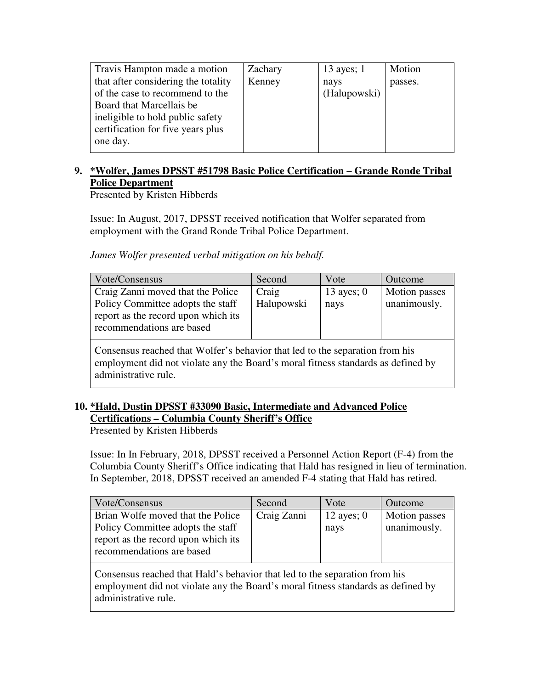| Travis Hampton made a motion        | Zachary | 13 ayes; $1$ | Motion  |
|-------------------------------------|---------|--------------|---------|
| that after considering the totality | Kenney  | nays         | passes. |
| of the case to recommend to the     |         | (Halupowski) |         |
| Board that Marcellais be            |         |              |         |
| ineligible to hold public safety    |         |              |         |
| certification for five years plus   |         |              |         |
| one day.                            |         |              |         |
|                                     |         |              |         |

### **9. \*Wolfer, James DPSST #51798 Basic Police Certification – Grande Ronde Tribal Police Department**

Presented by Kristen Hibberds

Issue: In August, 2017, DPSST received notification that Wolfer separated from employment with the Grand Ronde Tribal Police Department.

*James Wolfer presented verbal mitigation on his behalf.* 

| Second     | Vote         | Outcome       |
|------------|--------------|---------------|
| Craig      | 13 ayes; $0$ | Motion passes |
| Halupowski | nays         | unanimously.  |
|            |              |               |
|            |              |               |
|            |              |               |

Consensus reached that Wolfer's behavior that led to the separation from his employment did not violate any the Board's moral fitness standards as defined by administrative rule.

# **10. \*Hald, Dustin DPSST #33090 Basic, Intermediate and Advanced Police Certifications – Columbia County Sheriff's Office**

Presented by Kristen Hibberds

Issue: In In February, 2018, DPSST received a Personnel Action Report (F-4) from the Columbia County Sheriff's Office indicating that Hald has resigned in lieu of termination. In September, 2018, DPSST received an amended F-4 stating that Hald has retired.

| Vote/Consensus                      | Second      | Vote         | Outcome              |
|-------------------------------------|-------------|--------------|----------------------|
| Brian Wolfe moved that the Police   | Craig Zanni | 12 ayes; $0$ | <b>Motion</b> passes |
| Policy Committee adopts the staff   |             | nays         | unanimously.         |
| report as the record upon which its |             |              |                      |
| recommendations are based           |             |              |                      |

Consensus reached that Hald's behavior that led to the separation from his employment did not violate any the Board's moral fitness standards as defined by administrative rule.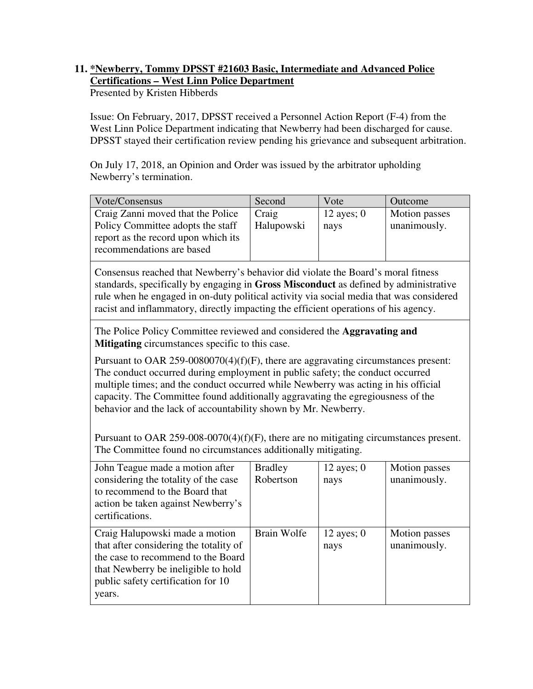# **11. \*Newberry, Tommy DPSST #21603 Basic, Intermediate and Advanced Police Certifications – West Linn Police Department**

Presented by Kristen Hibberds

Issue: On February, 2017, DPSST received a Personnel Action Report (F-4) from the West Linn Police Department indicating that Newberry had been discharged for cause. DPSST stayed their certification review pending his grievance and subsequent arbitration.

On July 17, 2018, an Opinion and Order was issued by the arbitrator upholding Newberry's termination.

| Vote/Consensus                      | Second     | Vote         | Outcome       |
|-------------------------------------|------------|--------------|---------------|
| Craig Zanni moved that the Police   | Craig      | 12 ayes; $0$ | Motion passes |
| Policy Committee adopts the staff   | Halupowski | nays         | unanimously.  |
| report as the record upon which its |            |              |               |
| recommendations are based           |            |              |               |

Consensus reached that Newberry's behavior did violate the Board's moral fitness standards, specifically by engaging in **Gross Misconduct** as defined by administrative rule when he engaged in on-duty political activity via social media that was considered racist and inflammatory, directly impacting the efficient operations of his agency.

The Police Policy Committee reviewed and considered the **Aggravating and Mitigating** circumstances specific to this case.

Pursuant to OAR 259-0080070(4)(f)(F), there are aggravating circumstances present: The conduct occurred during employment in public safety; the conduct occurred multiple times; and the conduct occurred while Newberry was acting in his official capacity. The Committee found additionally aggravating the egregiousness of the behavior and the lack of accountability shown by Mr. Newberry.

Pursuant to OAR 259-008-0070(4)(f)(F), there are no mitigating circumstances present. The Committee found no circumstances additionally mitigating.

| John Teague made a motion after<br>considering the totality of the case<br>to recommend to the Board that<br>action be taken against Newberry's<br>certifications.                                    | <b>Bradley</b><br>Robertson | 12 ayes; $0$<br>nays | Motion passes<br>unanimously. |
|-------------------------------------------------------------------------------------------------------------------------------------------------------------------------------------------------------|-----------------------------|----------------------|-------------------------------|
| Craig Halupowski made a motion<br>that after considering the totality of<br>the case to recommend to the Board<br>that Newberry be ineligible to hold<br>public safety certification for 10<br>years. | Brain Wolfe                 | 12 ayes; $0$<br>nays | Motion passes<br>unanimously. |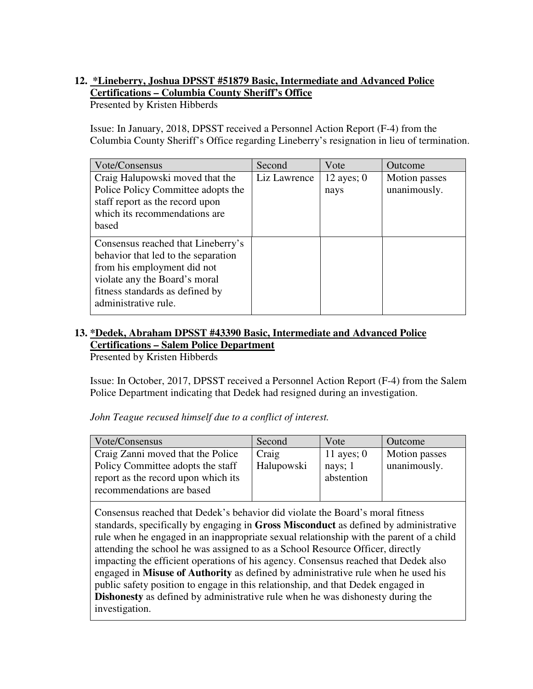# **12. \*Lineberry, Joshua DPSST #51879 Basic, Intermediate and Advanced Police Certifications – Columbia County Sheriff's Office**

Presented by Kristen Hibberds

Issue: In January, 2018, DPSST received a Personnel Action Report (F-4) from the Columbia County Sheriff's Office regarding Lineberry's resignation in lieu of termination.

| Vote/Consensus                                                                                                                                                                                       | Second       | Vote                 | Outcome                       |
|------------------------------------------------------------------------------------------------------------------------------------------------------------------------------------------------------|--------------|----------------------|-------------------------------|
| Craig Halupowski moved that the<br>Police Policy Committee adopts the<br>staff report as the record upon<br>which its recommendations are<br>based                                                   | Liz Lawrence | 12 ayes; $0$<br>nays | Motion passes<br>unanimously. |
| Consensus reached that Lineberry's<br>behavior that led to the separation<br>from his employment did not<br>violate any the Board's moral<br>fitness standards as defined by<br>administrative rule. |              |                      |                               |

### **13. \*Dedek, Abraham DPSST #43390 Basic, Intermediate and Advanced Police Certifications – Salem Police Department**

Presented by Kristen Hibberds

Issue: In October, 2017, DPSST received a Personnel Action Report (F-4) from the Salem Police Department indicating that Dedek had resigned during an investigation.

*John Teague recused himself due to a conflict of interest.* 

| Second     | Vote         | Outcome       |
|------------|--------------|---------------|
| Craig      | 11 ayes; $0$ | Motion passes |
| Halupowski | nays; $1$    | unanimously.  |
|            | abstention   |               |
|            |              |               |
|            |              |               |

Consensus reached that Dedek's behavior did violate the Board's moral fitness standards, specifically by engaging in **Gross Misconduct** as defined by administrative rule when he engaged in an inappropriate sexual relationship with the parent of a child attending the school he was assigned to as a School Resource Officer, directly impacting the efficient operations of his agency. Consensus reached that Dedek also engaged in **Misuse of Authority** as defined by administrative rule when he used his public safety position to engage in this relationship, and that Dedek engaged in **Dishonesty** as defined by administrative rule when he was dishonesty during the investigation.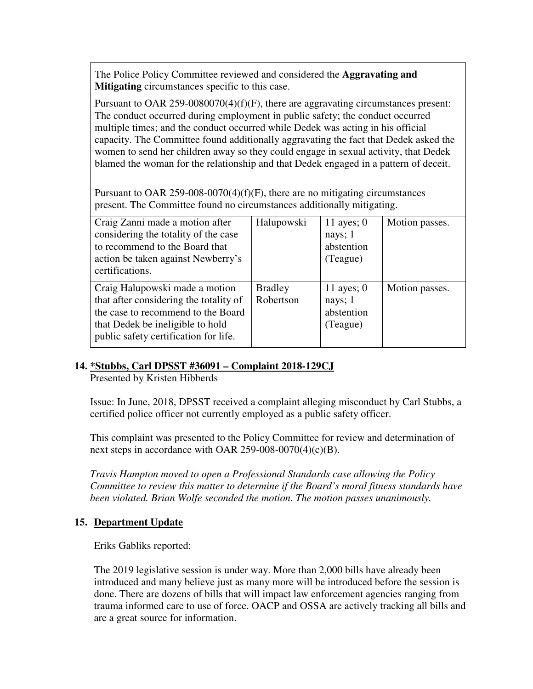The Police Policy Committee reviewed and considered the **Aggravating and Mitigating** circumstances specific to this case.

Pursuant to OAR 259-0080070(4)(f)(F), there are aggravating circumstances present: The conduct occurred during employment in public safety; the conduct occurred multiple times; and the conduct occurred while Dedek was acting in his official capacity. The Committee found additionally aggravating the fact that Dedek asked the women to send her children away so they could engage in sexual activity, that Dedek blamed the woman for the relationship and that Dedek engaged in a pattern of deceit.

Pursuant to OAR 259-008-0070(4)(f)(F), there are no mitigating circumstances present. The Committee found no circumstances additionally mitigating.

| Craig Zanni made a motion after<br>considering the totality of the case<br>to recommend to the Board that<br>action be taken against Newberry's<br>certifications.                          | Halupowski                  | 11 ayes; $0$<br>nays; 1<br>abstention<br>(Teague) | Motion passes. |
|---------------------------------------------------------------------------------------------------------------------------------------------------------------------------------------------|-----------------------------|---------------------------------------------------|----------------|
| Craig Halupowski made a motion<br>that after considering the totality of<br>the case to recommend to the Board<br>that Dedek be ineligible to hold<br>public safety certification for life. | <b>Bradley</b><br>Robertson | 11 ayes; $0$<br>nays; 1<br>abstention<br>(Teague) | Motion passes. |

#### **14. \*Stubbs, Carl DPSST #36091 – Complaint 2018-129CJ**

Presented by Kristen Hibberds

Issue: In June, 2018, DPSST received a complaint alleging misconduct by Carl Stubbs, a certified police officer not currently employed as a public safety officer.

This complaint was presented to the Policy Committee for review and determination of next steps in accordance with OAR 259-008-0070(4)(c)(B).

*Travis Hampton moved to open a Professional Standards case allowing the Policy Committee to review this matter to determine if the Board's moral fitness standards have been violated. Brian Wolfe seconded the motion. The motion passes unanimously.* 

### **15. Department Update**

Eriks Gabliks reported:

The 2019 legislative session is under way. More than 2,000 bills have already been introduced and many believe just as many more will be introduced before the session is done. There are dozens of bills that will impact law enforcement agencies ranging from trauma informed care to use of force. OACP and OSSA are actively tracking all bills and are a great source for information.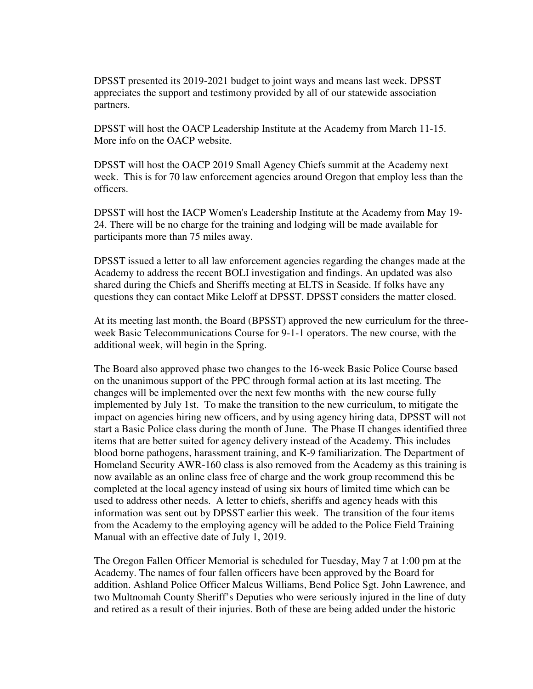DPSST presented its 2019-2021 budget to joint ways and means last week. DPSST appreciates the support and testimony provided by all of our statewide association partners.

DPSST will host the OACP Leadership Institute at the Academy from March 11-15. More info on the OACP website.

DPSST will host the OACP 2019 Small Agency Chiefs summit at the Academy next week. This is for 70 law enforcement agencies around Oregon that employ less than the officers.

DPSST will host the IACP Women's Leadership Institute at the Academy from May 19- 24. There will be no charge for the training and lodging will be made available for participants more than 75 miles away.

DPSST issued a letter to all law enforcement agencies regarding the changes made at the Academy to address the recent BOLI investigation and findings. An updated was also shared during the Chiefs and Sheriffs meeting at ELTS in Seaside. If folks have any questions they can contact Mike Leloff at DPSST. DPSST considers the matter closed.

At its meeting last month, the Board (BPSST) approved the new curriculum for the threeweek Basic Telecommunications Course for 9-1-1 operators. The new course, with the additional week, will begin in the Spring.

The Board also approved phase two changes to the 16-week Basic Police Course based on the unanimous support of the PPC through formal action at its last meeting. The changes will be implemented over the next few months with the new course fully implemented by July 1st. To make the transition to the new curriculum, to mitigate the impact on agencies hiring new officers, and by using agency hiring data, DPSST will not start a Basic Police class during the month of June. The Phase II changes identified three items that are better suited for agency delivery instead of the Academy. This includes blood borne pathogens, harassment training, and K-9 familiarization. The Department of Homeland Security AWR-160 class is also removed from the Academy as this training is now available as an online class free of charge and the work group recommend this be completed at the local agency instead of using six hours of limited time which can be used to address other needs. A letter to chiefs, sheriffs and agency heads with this information was sent out by DPSST earlier this week. The transition of the four items from the Academy to the employing agency will be added to the Police Field Training Manual with an effective date of July 1, 2019.

The Oregon Fallen Officer Memorial is scheduled for Tuesday, May 7 at 1:00 pm at the Academy. The names of four fallen officers have been approved by the Board for addition. Ashland Police Officer Malcus Williams, Bend Police Sgt. John Lawrence, and two Multnomah County Sheriff's Deputies who were seriously injured in the line of duty and retired as a result of their injuries. Both of these are being added under the historic